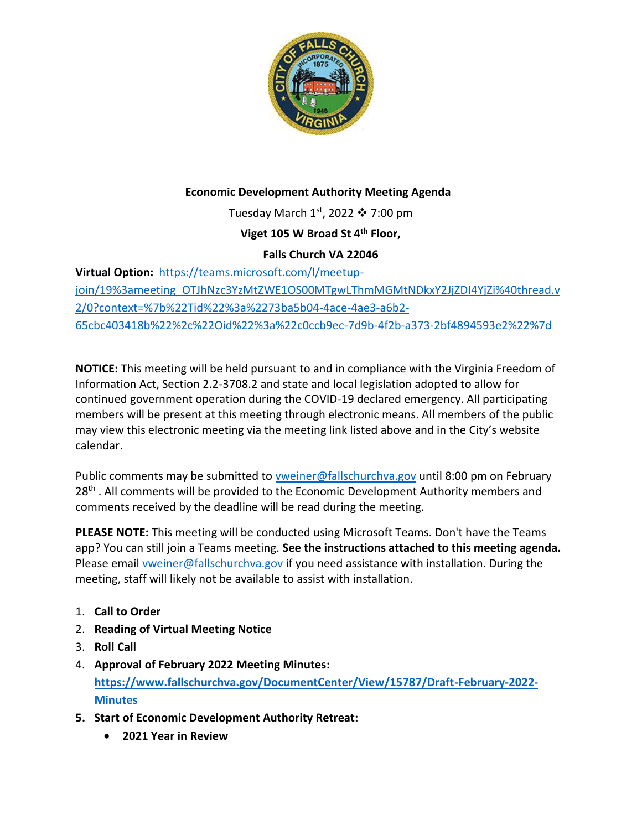

## **Economic Development Authority Meeting Agenda**

Tuesday March  $1<sup>st</sup>$ , 2022  $\cdot$  7:00 pm

**Viget 105 W Broad St 4th Floor,** 

## **Falls Church VA 22046**

**Virtual Option:** [https://teams.microsoft.com/l/meetup](https://teams.microsoft.com/l/meetup-join/19%3ameeting_OTJhNzc3YzMtZWE1OS00MTgwLThmMGMtNDkxY2JjZDI4YjZi%40thread.v2/0?context=%7b%22Tid%22%3a%2273ba5b04-4ace-4ae3-a6b2-65cbc403418b%22%2c%22Oid%22%3a%22c0ccb9ec-7d9b-4f2b-a373-2bf4894593e2%22%7d)[join/19%3ameeting\\_OTJhNzc3YzMtZWE1OS00MTgwLThmMGMtNDkxY2JjZDI4YjZi%40thread.v](https://teams.microsoft.com/l/meetup-join/19%3ameeting_OTJhNzc3YzMtZWE1OS00MTgwLThmMGMtNDkxY2JjZDI4YjZi%40thread.v2/0?context=%7b%22Tid%22%3a%2273ba5b04-4ace-4ae3-a6b2-65cbc403418b%22%2c%22Oid%22%3a%22c0ccb9ec-7d9b-4f2b-a373-2bf4894593e2%22%7d) [2/0?context=%7b%22Tid%22%3a%2273ba5b04-4ace-4ae3-a6b2-](https://teams.microsoft.com/l/meetup-join/19%3ameeting_OTJhNzc3YzMtZWE1OS00MTgwLThmMGMtNDkxY2JjZDI4YjZi%40thread.v2/0?context=%7b%22Tid%22%3a%2273ba5b04-4ace-4ae3-a6b2-65cbc403418b%22%2c%22Oid%22%3a%22c0ccb9ec-7d9b-4f2b-a373-2bf4894593e2%22%7d) [65cbc403418b%22%2c%22Oid%22%3a%22c0ccb9ec-7d9b-4f2b-a373-2bf4894593e2%22%7d](https://teams.microsoft.com/l/meetup-join/19%3ameeting_OTJhNzc3YzMtZWE1OS00MTgwLThmMGMtNDkxY2JjZDI4YjZi%40thread.v2/0?context=%7b%22Tid%22%3a%2273ba5b04-4ace-4ae3-a6b2-65cbc403418b%22%2c%22Oid%22%3a%22c0ccb9ec-7d9b-4f2b-a373-2bf4894593e2%22%7d)

**NOTICE:** This meeting will be held pursuant to and in compliance with the Virginia Freedom of Information Act, Section 2.2-3708.2 and state and local legislation adopted to allow for continued government operation during the COVID-19 declared emergency. All participating members will be present at this meeting through electronic means. All members of the public may view this electronic meeting via the meeting link listed above and in the City's website calendar.

Public comments may be submitted to [vweiner@fallschurchva.gov](mailto:vweiner@fallschurchva.gov) until 8:00 pm on February 28<sup>th</sup>. All comments will be provided to the Economic Development Authority members and comments received by the deadline will be read during the meeting.

**PLEASE NOTE:** This meeting will be conducted using Microsoft Teams. Don't have the Teams app? You can still join a Teams meeting. **See the instructions attached to this meeting agenda.**  Please email **vweiner@fallschurchva.gov** if you need assistance with installation. During the meeting, staff will likely not be available to assist with installation.

- 1. **Call to Order**
- 2. **Reading of Virtual Meeting Notice**
- 3. **Roll Call**
- 4. **Approval of February 2022 Meeting Minutes: [https://www.fallschurchva.gov/DocumentCenter/View/15787/Draft-February-2022-](https://www.fallschurchva.gov/DocumentCenter/View/15787/Draft-February-2022-Minutes) [Minutes](https://www.fallschurchva.gov/DocumentCenter/View/15787/Draft-February-2022-Minutes)**
- **5. Start of Economic Development Authority Retreat:**
	- **2021 Year in Review**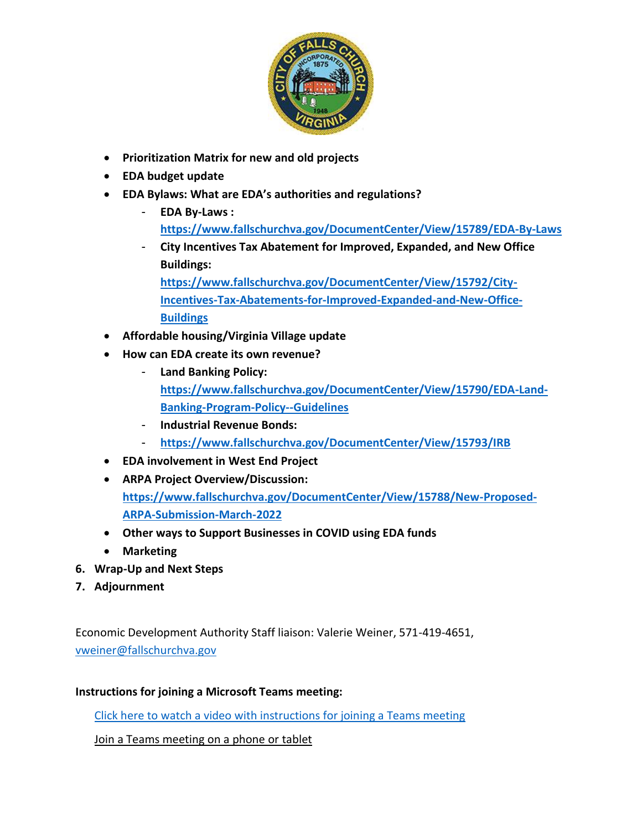

- **Prioritization Matrix for new and old projects**
- **EDA budget update**
- **EDA Bylaws: What are EDA's authorities and regulations?** 
	- **EDA By-Laws : <https://www.fallschurchva.gov/DocumentCenter/View/15789/EDA-By-Laws>**
	- **City Incentives Tax Abatement for Improved, Expanded, and New Office Buildings:**

**[https://www.fallschurchva.gov/DocumentCenter/View/15792/City-](https://www.fallschurchva.gov/DocumentCenter/View/15792/City-Incentives-Tax-Abatements-for-Improved-Expanded-and-New-Office-Buildings)[Incentives-Tax-Abatements-for-Improved-Expanded-and-New-Office-](https://www.fallschurchva.gov/DocumentCenter/View/15792/City-Incentives-Tax-Abatements-for-Improved-Expanded-and-New-Office-Buildings)[Buildings](https://www.fallschurchva.gov/DocumentCenter/View/15792/City-Incentives-Tax-Abatements-for-Improved-Expanded-and-New-Office-Buildings)**

- **Affordable housing/Virginia Village update**
- **How can EDA create its own revenue?** 
	- **Land Banking Policy: [https://www.fallschurchva.gov/DocumentCenter/View/15790/EDA-Land-](https://www.fallschurchva.gov/DocumentCenter/View/15790/EDA-Land-Banking-Program-Policy--Guidelines)[Banking-Program-Policy--Guidelines](https://www.fallschurchva.gov/DocumentCenter/View/15790/EDA-Land-Banking-Program-Policy--Guidelines)**
	- **Industrial Revenue Bonds:**
	- **<https://www.fallschurchva.gov/DocumentCenter/View/15793/IRB>**
- **EDA involvement in West End Project**
- **ARPA Project Overview/Discussion: [https://www.fallschurchva.gov/DocumentCenter/View/15788/New-Proposed-](https://www.fallschurchva.gov/DocumentCenter/View/15788/New-Proposed-ARPA-Submission-March-2022)[ARPA-Submission-March-2022](https://www.fallschurchva.gov/DocumentCenter/View/15788/New-Proposed-ARPA-Submission-March-2022)**
- **Other ways to Support Businesses in COVID using EDA funds**
- **Marketing**
- **6. Wrap-Up and Next Steps**
- **7. Adjournment**

Economic Development Authority Staff liaison: Valerie Weiner, 571-419-4651, [vweiner@fallschurchva.gov](mailto:vweiner@fallschurchva.gov)

## **Instructions for joining a Microsoft Teams meeting:**

[Click here to watch a video with instructions for joining a Teams meeting](https://www.microsoft.com/en-us/videoplayer/embed/RE3Oz24?pid=ocpVideo0-innerdiv-oneplayer&postJsllMsg=true&maskLevel=20&market=en-us)

Join a Teams meeting on a phone or tablet